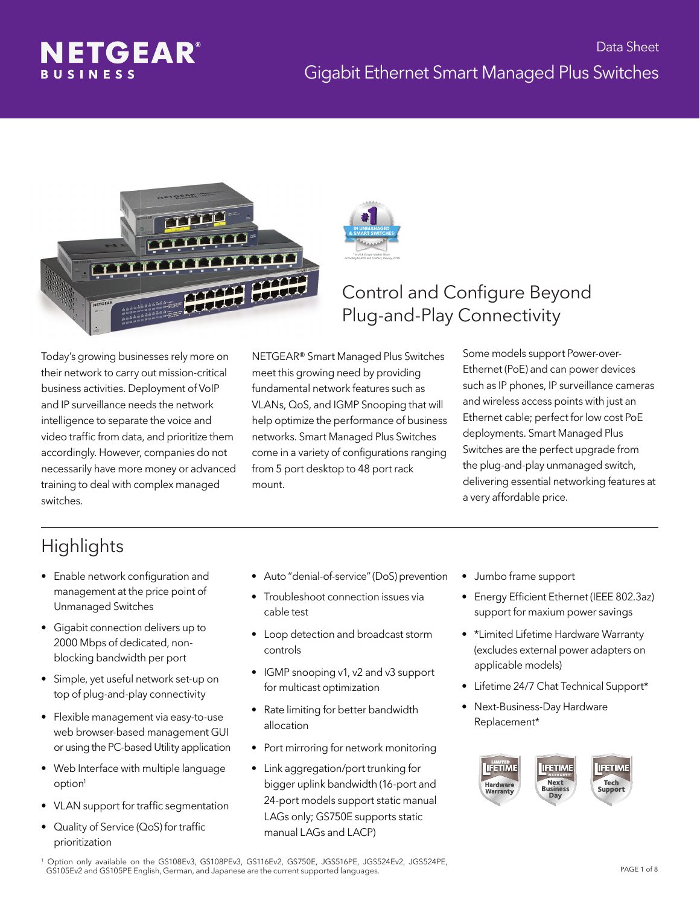





### Control and Configure Beyond Plug-and-Play Connectivity

Today's growing businesses rely more on their network to carry out mission-critical business activities. Deployment of VoIP and IP surveillance needs the network intelligence to separate the voice and video traffic from data, and prioritize them accordingly. However, companies do not necessarily have more money or advanced training to deal with complex managed switches.

NETGEAR® Smart Managed Plus Switches meet this growing need by providing fundamental network features such as VLANs, QoS, and IGMP Snooping that will help optimize the performance of business networks. Smart Managed Plus Switches come in a variety of configurations ranging from 5 port desktop to 48 port rack mount.

#### Some models support Power-over-Ethernet (PoE) and can power devices such as IP phones, IP surveillance cameras and wireless access points with just an Ethernet cable; perfect for low cost PoE deployments. Smart Managed Plus Switches are the perfect upgrade from the plug-and-play unmanaged switch, delivering essential networking features at a very affordable price.

### **Highlights**

- Enable network configuration and management at the price point of Unmanaged Switches
- Gigabit connection delivers up to 2000 Mbps of dedicated, non blocking bandwidth per port
- Simple, yet useful network set-up on top of plug-and-play connectivity
- Flexible management via easy-to-use web browser-based management GUI or using the PC-based Utility application
- Web Interface with multiple language option<sup>1</sup>
- VLAN support for traffic segmentation
- Quality of Service (QoS) for traffic prioritization
- Auto "denial-of-service" (DoS) prevention
- Troubleshoot connection issues via cable test
- Loop detection and broadcast storm controls
- IGMP snooping v1, v2 and v3 support for multicast optimization
- Rate limiting for better bandwidth allocation
- Port mirroring for network monitoring
- Link aggregation/port trunking for bigger uplink bandwidth (16-port and 24-port models support static manual LAGs only; GS750E supports static manual LAGs and LACP)
- Jumbo frame support
- Energy Efficient Ethernet (IEEE 802.3az) support for maxium power savings
- \*Limited Lifetime Hardware Warranty (excludes external power adapters on applicable models)
- Lifetime 24/7 Chat Technical Support\*
- Next-Business-Day Hardware Replacement\*



1 Option only available on the GS108Ev3, GS108PEv3, GS116Ev2, GS750E, JGS516PE, JGS524Ev2, JGS524PE, GS105Ev2 and GS105PE English, German, and Japanese are the current supported languages.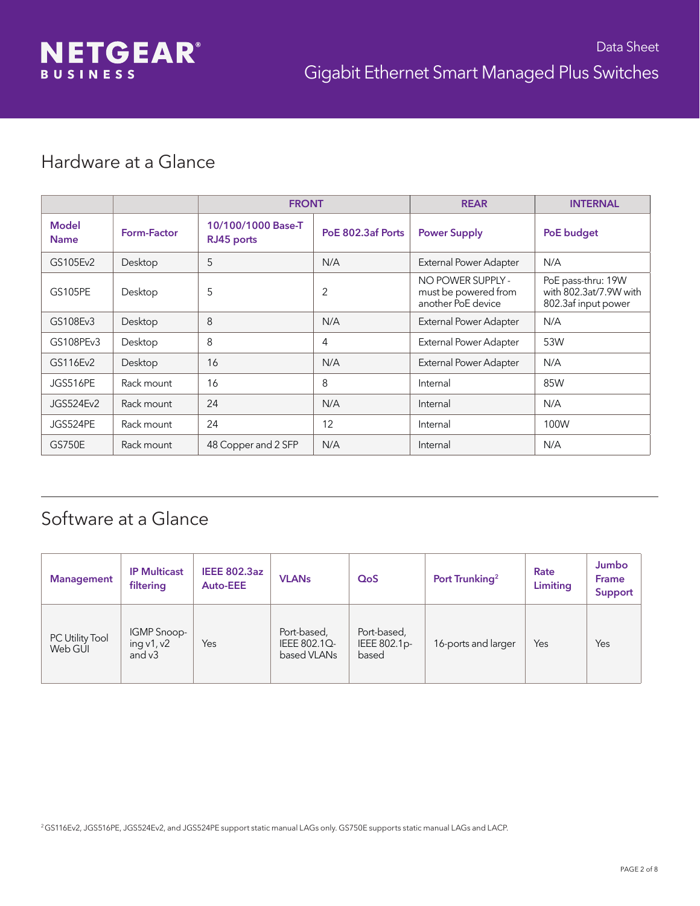#### Hardware at a Glance

|                             |             | <b>FRONT</b>                     |                   | <b>REAR</b>                                                     | <b>INTERNAL</b>                                                     |
|-----------------------------|-------------|----------------------------------|-------------------|-----------------------------------------------------------------|---------------------------------------------------------------------|
| <b>Model</b><br><b>Name</b> | Form-Factor | 10/100/1000 Base-T<br>RJ45 ports | PoE 802.3af Ports | <b>Power Supply</b>                                             | PoE budget                                                          |
| GS105Ev2                    | Desktop     | 5                                | N/A               | External Power Adapter                                          | N/A                                                                 |
| <b>GS105PE</b>              | Desktop     | 5                                | 2                 | NO POWER SUPPLY -<br>must be powered from<br>another PoE device | PoE pass-thru: 19W<br>with 802.3at/7.9W with<br>802.3af input power |
| GS108Ev3                    | Desktop     | 8                                | N/A               | External Power Adapter                                          | N/A                                                                 |
| GS108PEv3                   | Desktop     | 8                                | 4                 | External Power Adapter                                          | 53W                                                                 |
| GS116Ev2                    | Desktop     | 16                               | N/A               | <b>External Power Adapter</b>                                   | N/A                                                                 |
| JGS516PE                    | Rack mount  | 16                               | 8                 | Internal                                                        | 85W                                                                 |
| JGS524Ev2                   | Rack mount  | 24                               | N/A               | Internal                                                        | N/A                                                                 |
| JGS524PE                    | Rack mount  | 24                               | 12                | Internal                                                        | 100W                                                                |
| <b>GS750E</b>               | Rack mount  | 48 Copper and 2 SFP              | N/A               | Internal                                                        | N/A                                                                 |

### Software at a Glance

| <b>Management</b>          | <b>IP Multicast</b><br>filtering        | <b>IEEE 802.3az</b><br><b>Auto-EEE</b> | <b>VLAN<sub>s</sub></b>                    | QoS                                  | Port Trunking <sup>2</sup> | Rate<br>Limiting | Jumbo<br><b>Frame</b><br>Support |
|----------------------------|-----------------------------------------|----------------------------------------|--------------------------------------------|--------------------------------------|----------------------------|------------------|----------------------------------|
| PC Utility Tool<br>Web GUI | IGMP Snoop-<br>ing $v1, v2$<br>and $v3$ | Yes                                    | Port-based,<br>IEEE 802.1Q-<br>based VLANs | Port-based,<br>IEEE 802.1p-<br>based | 16-ports and larger        | Yes              | Yes                              |

<sup>2</sup>GS116Ev2, JGS516PE, JGS524Ev2, and JGS524PE support static manual LAGs only. GS750E supports static manual LAGs and LACP.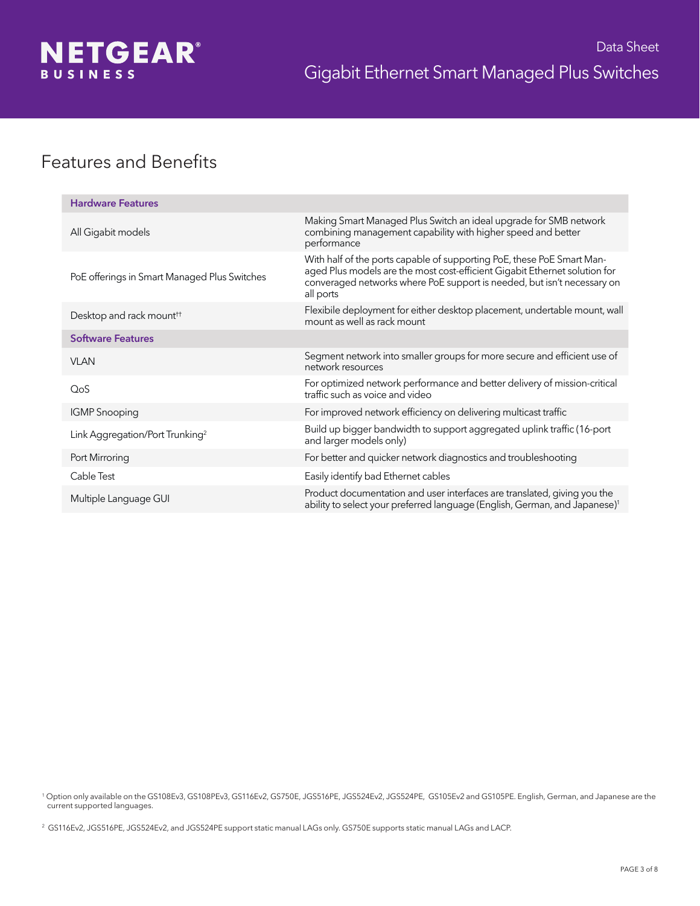

#### Features and Benefits

| <b>Hardware Features</b>                     |                                                                                                                                                                                                                                              |
|----------------------------------------------|----------------------------------------------------------------------------------------------------------------------------------------------------------------------------------------------------------------------------------------------|
| All Gigabit models                           | Making Smart Managed Plus Switch an ideal upgrade for SMB network<br>combining management capability with higher speed and better<br>performance                                                                                             |
| PoE offerings in Smart Managed Plus Switches | With half of the ports capable of supporting PoE, these PoE Smart Man-<br>aged Plus models are the most cost-efficient Gigabit Ethernet solution for<br>converaged networks where PoE support is needed, but isn't necessary on<br>all ports |
| Desktop and rack mount <sup>††</sup>         | Flexibile deployment for either desktop placement, undertable mount, wall<br>mount as well as rack mount                                                                                                                                     |
| <b>Software Features</b>                     |                                                                                                                                                                                                                                              |
| <b>VLAN</b>                                  | Segment network into smaller groups for more secure and efficient use of<br>network resources                                                                                                                                                |
| QoS                                          | For optimized network performance and better delivery of mission-critical<br>traffic such as voice and video                                                                                                                                 |
| <b>IGMP</b> Snooping                         | For improved network efficiency on delivering multicast traffic                                                                                                                                                                              |
| Link Aggregation/Port Trunking <sup>2</sup>  | Build up bigger bandwidth to support aggregated uplink traffic (16-port<br>and larger models only)                                                                                                                                           |
| Port Mirroring                               | For better and quicker network diagnostics and troubleshooting                                                                                                                                                                               |
| Cable Test                                   | Easily identify bad Ethernet cables                                                                                                                                                                                                          |
| Multiple Language GUI                        | Product documentation and user interfaces are translated, giving you the<br>ability to select your preferred language (English, German, and Japanese) <sup>1</sup>                                                                           |

1 Option only available on the GS108Ev3, GS108PEv3, GS116Ev2, GS750E, JGS516PE, JGS524Ev2, JGS524PE, GS105Ev2 and GS105PE. English, German, and Japanese are the current supported languages.

<sup>2</sup> GS116Ev2, JGS516PE, JGS524Ev2, and JGS524PE support static manual LAGs only. GS750E supports static manual LAGs and LACP.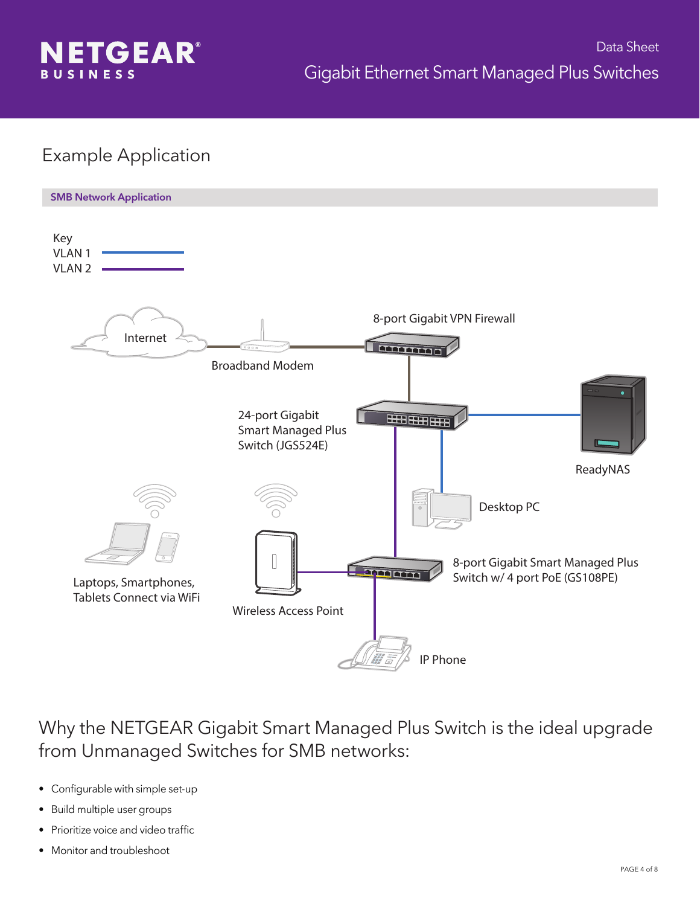

### Example Application



Why the NETGEAR Gigabit Smart Managed Plus Switch is the ideal upgrade from Unmanaged Switches for SMB networks:

- Configurable with simple set-up
- Build multiple user groups
- Prioritize voice and video traffic
- Monitor and troubleshoot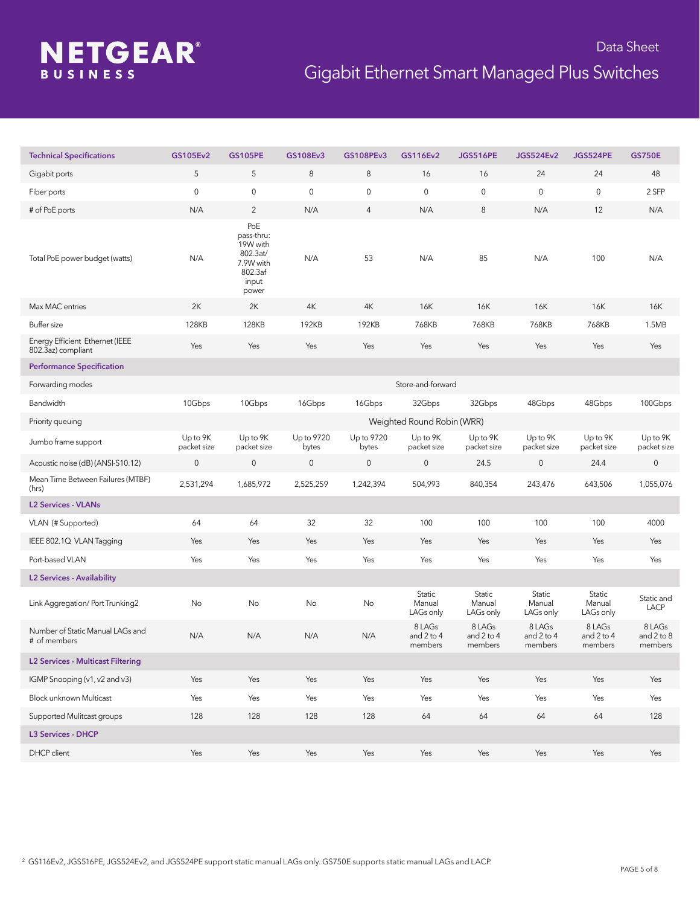# **NETGEAR®**

| <b>Technical Specifications</b>                       | GS105Ev2                | <b>GS105PE</b>                                                                      | GS108Ev3            | GS108PEv3           | GS116Ev2                        | <b>JGS516PE</b>                 | <b>JGS524Ev2</b>                | <b>JGS524PE</b>                 | <b>GS750E</b>                   |
|-------------------------------------------------------|-------------------------|-------------------------------------------------------------------------------------|---------------------|---------------------|---------------------------------|---------------------------------|---------------------------------|---------------------------------|---------------------------------|
| Gigabit ports                                         | 5                       | 5                                                                                   | $\,8\,$             | $\,8\,$             | 16                              | 16                              | 24                              | 24                              | 48                              |
| Fiber ports                                           | $\mathbf 0$             | 0                                                                                   | $\mathsf{O}\xspace$ | $\mathsf{O}\xspace$ | $\mathbf 0$                     | 0                               | $\mathbf 0$                     | $\mathsf{O}\xspace$             | 2 SFP                           |
| # of PoE ports                                        | N/A                     | $\overline{2}$                                                                      | N/A                 | $\overline{4}$      | N/A                             | 8                               | N/A                             | 12                              | N/A                             |
| Total PoE power budget (watts)                        | N/A                     | PoE<br>pass-thru:<br>19W with<br>802.3at/<br>7.9W with<br>802.3af<br>input<br>power | N/A                 | 53                  | N/A                             | 85                              | N/A                             | 100                             | N/A                             |
| Max MAC entries                                       | 2K                      | 2K                                                                                  | 4K                  | 4K                  | 16K                             | 16K                             | 16K                             | 16K                             | 16K                             |
| Buffer size                                           | 128KB                   | <b>128KB</b>                                                                        | 192KB               | 192KB               | 768KB                           | 768KB                           | 768KB                           | 768KB                           | 1.5MB                           |
| Energy Efficient Ethernet (IEEE<br>802.3az) compliant | Yes                     | Yes                                                                                 | Yes                 | Yes                 | Yes                             | Yes                             | Yes                             | Yes                             | Yes                             |
| <b>Performance Specification</b>                      |                         |                                                                                     |                     |                     |                                 |                                 |                                 |                                 |                                 |
| Forwarding modes                                      |                         |                                                                                     |                     |                     | Store-and-forward               |                                 |                                 |                                 |                                 |
| Bandwidth                                             | 10Gbps                  | 10Gbps                                                                              | 16Gbps              | 16Gbps              | 32Gbps                          | 32Gbps                          | 48Gbps                          | 48Gbps                          | 100Gbps                         |
| Priority queuing                                      |                         |                                                                                     |                     |                     | Weighted Round Robin (WRR)      |                                 |                                 |                                 |                                 |
| Jumbo frame support                                   | Up to 9K<br>packet size | Up to 9K<br>packet size                                                             | Up to 9720<br>bytes | Up to 9720<br>bytes | Up to 9K<br>packet size         | Up to 9K<br>packet size         | Up to 9K<br>packet size         | Up to 9K<br>packet size         | Up to 9K<br>packet size         |
| Acoustic noise (dB) (ANSI-S10.12)                     | $\mathsf{O}\xspace$     | $\mathsf{O}\xspace$                                                                 | $\mathsf{O}\xspace$ | $\mathsf{O}\xspace$ | $\mathbf 0$                     | 24.5                            | 0                               | 24.4                            | $\mathsf{O}\xspace$             |
| Mean Time Between Failures (MTBF)<br>(hrs)            | 2,531,294               | 1,685,972                                                                           | 2,525,259           | 1,242,394           | 504,993                         | 840,354                         | 243,476                         | 643,506                         | 1,055,076                       |
| <b>L2 Services - VLANs</b>                            |                         |                                                                                     |                     |                     |                                 |                                 |                                 |                                 |                                 |
| VLAN (# Supported)                                    | 64                      | 64                                                                                  | 32                  | 32                  | 100                             | 100                             | 100                             | 100                             | 4000                            |
| IEEE 802.1Q VLAN Tagging                              | Yes                     | Yes                                                                                 | Yes                 | Yes                 | Yes                             | Yes                             | Yes                             | Yes                             | Yes                             |
| Port-based VLAN                                       | Yes                     | Yes                                                                                 | Yes                 | Yes                 | Yes                             | Yes                             | Yes                             | Yes                             | Yes                             |
| <b>L2 Services - Availability</b>                     |                         |                                                                                     |                     |                     |                                 |                                 |                                 |                                 |                                 |
| Link Aggregation/Port Trunking2                       | No                      | No                                                                                  | No                  | No                  | Static<br>Manual<br>LAGs only   | Static<br>Manual<br>LAGs only   | Static<br>Manual<br>LAGs only   | Static<br>Manual<br>LAGs only   | Static and<br>LACP              |
| Number of Static Manual LAGs and<br># of members      | N/A                     | N/A                                                                                 | N/A                 | N/A                 | 8 LAGs<br>and 2 to 4<br>members | 8 LAGs<br>and 2 to 4<br>members | 8 LAGs<br>and 2 to 4<br>members | 8 LAGs<br>and 2 to 4<br>members | 8 LAGs<br>and 2 to 8<br>members |
| <b>L2 Services - Multicast Filtering</b>              |                         |                                                                                     |                     |                     |                                 |                                 |                                 |                                 |                                 |
| IGMP Snooping (v1, v2 and v3)                         | Yes                     | Yes                                                                                 | Yes                 | Yes                 | Yes                             | Yes                             | Yes                             | Yes                             | Yes                             |
| Block unknown Multicast                               | Yes                     | Yes                                                                                 | Yes                 | Yes                 | Yes                             | Yes                             | Yes                             | Yes                             | Yes                             |
| Supported Mulitcast groups                            | 128                     | 128                                                                                 | 128                 | 128                 | 64                              | 64                              | 64                              | $64\,$                          | 128                             |
| <b>L3 Services - DHCP</b>                             |                         |                                                                                     |                     |                     |                                 |                                 |                                 |                                 |                                 |
| DHCP client                                           | Yes                     | Yes                                                                                 | Yes                 | Yes                 | Yes                             | Yes                             | Yes                             | Yes                             | Yes                             |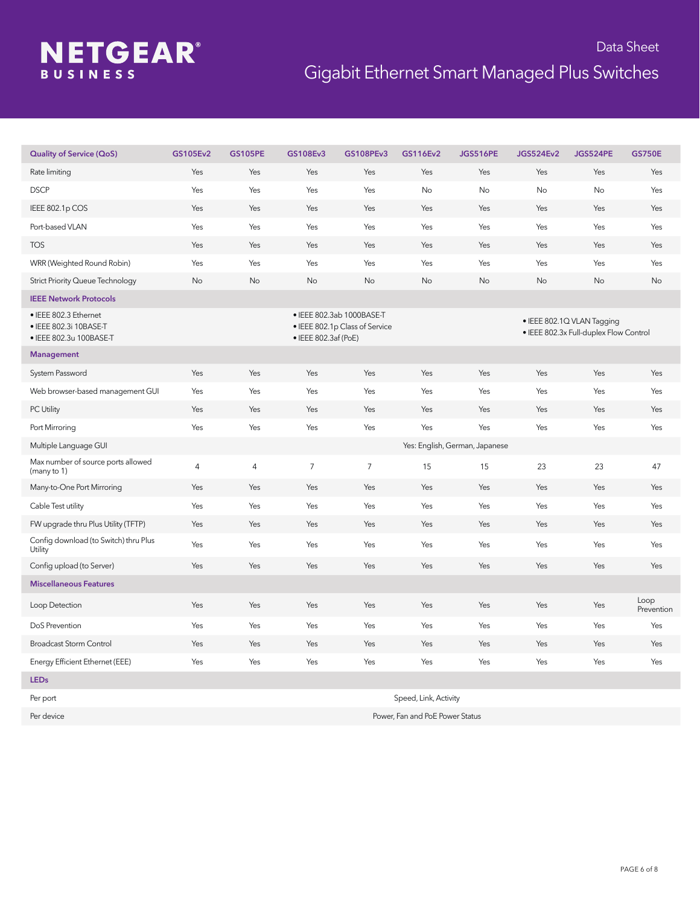# **NETGEAR®**

| <b>Quality of Service (QoS)</b>                                            | GS105Ev2 | <b>GS105PE</b> | GS108Ev3             | <b>GS108PEv3</b>                                            | GS116Ev2 | <b>JGS516PE</b>                | <b>JGS524Ev2</b> | <b>JGS524PE</b>                                                      | <b>GS750E</b>      |
|----------------------------------------------------------------------------|----------|----------------|----------------------|-------------------------------------------------------------|----------|--------------------------------|------------------|----------------------------------------------------------------------|--------------------|
| Rate limiting                                                              | Yes      | Yes            | Yes                  | Yes                                                         | Yes      | Yes                            | Yes              | Yes                                                                  | Yes                |
| <b>DSCP</b>                                                                | Yes      | Yes            | Yes                  | Yes                                                         | No       | <b>No</b>                      | No               | No                                                                   | Yes                |
| IEEE 802.1p COS                                                            | Yes      | Yes            | Yes                  | Yes                                                         | Yes      | Yes                            | Yes              | Yes                                                                  | Yes                |
| Port-based VLAN                                                            | Yes      | Yes            | Yes                  | Yes                                                         | Yes      | Yes                            | Yes              | Yes                                                                  | Yes                |
| <b>TOS</b>                                                                 | Yes      | Yes            | Yes                  | Yes                                                         | Yes      | Yes                            | Yes              | Yes                                                                  | Yes                |
| WRR (Weighted Round Robin)                                                 | Yes      | Yes            | Yes                  | Yes                                                         | Yes      | Yes                            | Yes              | Yes                                                                  | Yes                |
| <b>Strict Priority Queue Technology</b>                                    | No       | No             | No                   | No                                                          | No       | No                             | No               | No                                                                   | No                 |
| <b>IEEE Network Protocols</b>                                              |          |                |                      |                                                             |          |                                |                  |                                                                      |                    |
| · IEEE 802.3 Ethernet<br>• IEEE 802.3i 10BASE-T<br>• IEEE 802.3u 100BASE-T |          |                | • IEEE 802.3af (PoE) | · IEEE 802.3ab 1000BASE-T<br>• IEEE 802.1p Class of Service |          |                                |                  | · IEEE 802.1Q VLAN Tagging<br>• IEEE 802.3x Full-duplex Flow Control |                    |
| <b>Management</b>                                                          |          |                |                      |                                                             |          |                                |                  |                                                                      |                    |
| System Password                                                            | Yes      | Yes            | Yes                  | Yes                                                         | Yes      | Yes                            | Yes              | Yes                                                                  | Yes                |
| Web browser-based management GUI                                           | Yes      | Yes            | <b>Yes</b>           | Yes                                                         | Yes      | Yes                            | Yes              | Yes                                                                  | Yes                |
| PC Utility                                                                 | Yes      | Yes            | Yes                  | Yes                                                         | Yes      | Yes                            | Yes              | Yes                                                                  | Yes                |
| Port Mirroring                                                             | Yes      | Yes            | Yes                  | Yes                                                         | Yes      | Yes                            | Yes              | Yes                                                                  | Yes                |
| Multiple Language GUI                                                      |          |                |                      |                                                             |          | Yes: English, German, Japanese |                  |                                                                      |                    |
| Max number of source ports allowed<br>(many to 1)                          | 4        | 4              | $\overline{7}$       | $\overline{7}$                                              | 15       | 15                             | 23               | 23                                                                   | 47                 |
| Many-to-One Port Mirroring                                                 | Yes      | Yes            | Yes                  | Yes                                                         | Yes      | Yes                            | Yes              | Yes                                                                  | Yes                |
| Cable Test utility                                                         | Yes      | Yes            | Yes                  | Yes                                                         | Yes      | Yes                            | Yes              | Yes                                                                  | Yes                |
| FW upgrade thru Plus Utility (TFTP)                                        | Yes      | Yes            | Yes                  | Yes                                                         | Yes      | Yes                            | Yes              | Yes                                                                  | Yes                |
| Config download (to Switch) thru Plus<br>Utility                           | Yes      | Yes            | Yes                  | Yes                                                         | Yes      | Yes                            | Yes              | Yes                                                                  | Yes                |
| Config upload (to Server)                                                  | Yes      | Yes            | Yes                  | Yes                                                         | Yes      | Yes                            | Yes              | Yes                                                                  | Yes                |
| <b>Miscellaneous Features</b>                                              |          |                |                      |                                                             |          |                                |                  |                                                                      |                    |
| Loop Detection                                                             | Yes      | Yes            | Yes                  | Yes                                                         | Yes      | Yes                            | Yes              | Yes                                                                  | Loop<br>Prevention |
| DoS Prevention                                                             | Yes      | Yes            | Yes                  | Yes                                                         | Yes      | Yes                            | Yes              | Yes                                                                  | Yes                |
| <b>Broadcast Storm Control</b>                                             | Yes      | Yes            | Yes                  | Yes                                                         | Yes      | Yes                            | Yes              | Yes                                                                  | Yes                |
| Energy Efficient Ethernet (EEE)                                            | Yes      | Yes            | Yes                  | Yes                                                         | Yes      | Yes                            | Yes              | Yes                                                                  | Yes                |
| <b>LEDs</b>                                                                |          |                |                      |                                                             |          |                                |                  |                                                                      |                    |

| Per port   | Speed, Link, Activity           |
|------------|---------------------------------|
| Per device | Power, Fan and PoE Power Status |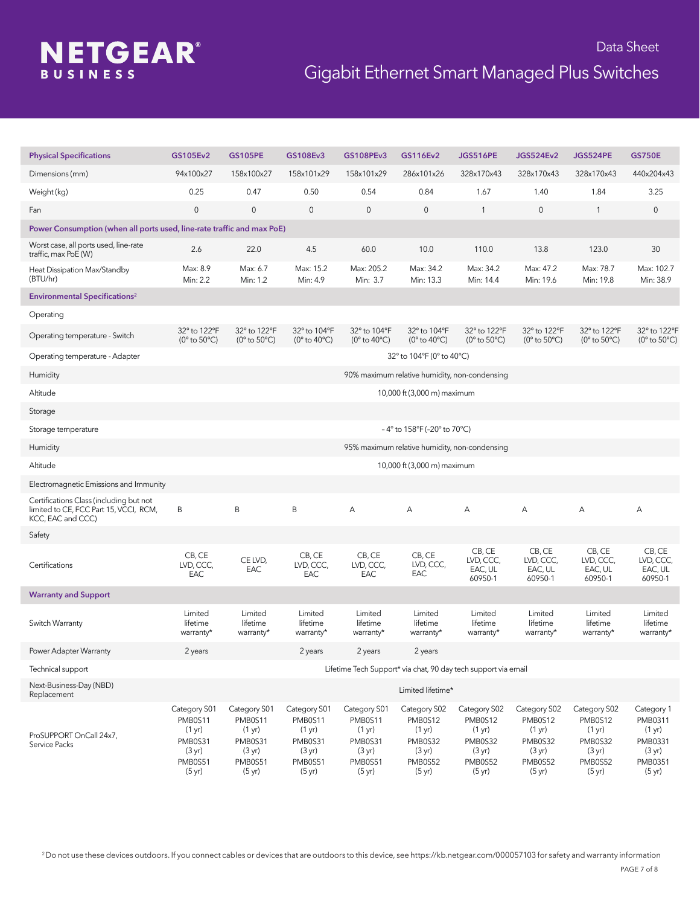## **NETGEAR®**

| <b>Physical Specifications</b>                                                                         | GS105Ev2                                                                                                  | <b>GS105PE</b>                                                                                            | GS108Ev3                                                                                                  | GS108PEv3                                                                                                 | GS116Ev2                                                                                                  | <b>JGS516PE</b>                                                                                           | <b>JGS524Ev2</b>                                                                                          | <b>JGS524PE</b>                                                                                 | <b>GS750E</b>                                                                                           |
|--------------------------------------------------------------------------------------------------------|-----------------------------------------------------------------------------------------------------------|-----------------------------------------------------------------------------------------------------------|-----------------------------------------------------------------------------------------------------------|-----------------------------------------------------------------------------------------------------------|-----------------------------------------------------------------------------------------------------------|-----------------------------------------------------------------------------------------------------------|-----------------------------------------------------------------------------------------------------------|-------------------------------------------------------------------------------------------------|---------------------------------------------------------------------------------------------------------|
| Dimensions (mm)                                                                                        | 94x100x27                                                                                                 | 158x100x27                                                                                                | 158x101x29                                                                                                | 158x101x29                                                                                                | 286x101x26                                                                                                | 328x170x43                                                                                                | 328x170x43                                                                                                | 328x170x43                                                                                      | 440x204x43                                                                                              |
| Weight (kg)                                                                                            | 0.25                                                                                                      | 0.47                                                                                                      | 0.50                                                                                                      | 0.54                                                                                                      | 0.84                                                                                                      | 1.67                                                                                                      | 1.40                                                                                                      | 1.84                                                                                            | 3.25                                                                                                    |
| Fan                                                                                                    | $\mathbf 0$                                                                                               | $\mathbf 0$                                                                                               | $\mathbf 0$                                                                                               | $\mathsf{O}\xspace$                                                                                       | 0                                                                                                         | $\mathbf{1}$                                                                                              | $\mathbf 0$                                                                                               | $\mathbf{1}$                                                                                    | 0                                                                                                       |
| Power Consumption (when all ports used, line-rate traffic and max PoE)                                 |                                                                                                           |                                                                                                           |                                                                                                           |                                                                                                           |                                                                                                           |                                                                                                           |                                                                                                           |                                                                                                 |                                                                                                         |
| Worst case, all ports used, line-rate<br>traffic, max PoE (W)                                          | 2.6                                                                                                       | 22.0                                                                                                      | 4.5                                                                                                       | 60.0                                                                                                      | 10.0                                                                                                      | 110.0                                                                                                     | 13.8                                                                                                      | 123.0                                                                                           | 30                                                                                                      |
| Heat Dissipation Max/Standby<br>(BTU/hr)                                                               | Max: 8.9<br>Min: 2.2                                                                                      | Max: 6.7<br>Min: 1.2                                                                                      | Max: 15.2<br>Min: 4.9                                                                                     | Max: 205.2<br>Min: 3.7                                                                                    | Max: 34.2<br>Min: 13.3                                                                                    | Max: 34.2<br>Min: 14.4                                                                                    | Max: 47.2<br>Min: 19.6                                                                                    | Max: 78.7<br>Min: 19.8                                                                          | Max: 102.7<br>Min: 38.9                                                                                 |
| <b>Environmental Specifications<sup>2</sup></b>                                                        |                                                                                                           |                                                                                                           |                                                                                                           |                                                                                                           |                                                                                                           |                                                                                                           |                                                                                                           |                                                                                                 |                                                                                                         |
| Operating                                                                                              |                                                                                                           |                                                                                                           |                                                                                                           |                                                                                                           |                                                                                                           |                                                                                                           |                                                                                                           |                                                                                                 |                                                                                                         |
| Operating temperature - Switch                                                                         | 32° to 122°F<br>( $0^\circ$ to $50^\circ$ C)                                                              | 32° to 122°F<br>( $0^\circ$ to $50^\circ$ C)                                                              | 32° to 104°F<br>(0 $^{\circ}$ to 40 $^{\circ}$ C)                                                         | 32° to 104°F<br>(0 $^{\circ}$ to 40 $^{\circ}$ C)                                                         | 32° to 104°F<br>(0 $^{\circ}$ to 40 $^{\circ}$ C)                                                         | 32° to 122°F<br>(0 $^{\circ}$ to 50 $^{\circ}$ C)                                                         | 32° to 122°F<br>(0° to 50°C)                                                                              | 32° to 122°F<br>( $0^\circ$ to $50^\circ$ C)                                                    | 32° to 122°F<br>(0° to 50°C)                                                                            |
| Operating temperature - Adapter                                                                        |                                                                                                           |                                                                                                           |                                                                                                           |                                                                                                           | 32° to 104°F (0° to 40°C)                                                                                 |                                                                                                           |                                                                                                           |                                                                                                 |                                                                                                         |
| Humidity                                                                                               |                                                                                                           |                                                                                                           |                                                                                                           |                                                                                                           | 90% maximum relative humidity, non-condensing                                                             |                                                                                                           |                                                                                                           |                                                                                                 |                                                                                                         |
| Altitude                                                                                               |                                                                                                           |                                                                                                           |                                                                                                           |                                                                                                           | 10,000 ft (3,000 m) maximum                                                                               |                                                                                                           |                                                                                                           |                                                                                                 |                                                                                                         |
| Storage                                                                                                |                                                                                                           |                                                                                                           |                                                                                                           |                                                                                                           |                                                                                                           |                                                                                                           |                                                                                                           |                                                                                                 |                                                                                                         |
| Storage temperature                                                                                    |                                                                                                           |                                                                                                           |                                                                                                           |                                                                                                           | -4° to 158°F (-20° to 70°C)                                                                               |                                                                                                           |                                                                                                           |                                                                                                 |                                                                                                         |
| Humidity                                                                                               |                                                                                                           |                                                                                                           |                                                                                                           |                                                                                                           | 95% maximum relative humidity, non-condensing                                                             |                                                                                                           |                                                                                                           |                                                                                                 |                                                                                                         |
| Altitude                                                                                               |                                                                                                           |                                                                                                           |                                                                                                           |                                                                                                           | 10,000 ft (3,000 m) maximum                                                                               |                                                                                                           |                                                                                                           |                                                                                                 |                                                                                                         |
| Electromagnetic Emissions and Immunity                                                                 |                                                                                                           |                                                                                                           |                                                                                                           |                                                                                                           |                                                                                                           |                                                                                                           |                                                                                                           |                                                                                                 |                                                                                                         |
| Certifications Class (including but not<br>limited to CE, FCC Part 15, VCCI, RCM,<br>KCC, EAC and CCC) | В                                                                                                         | B                                                                                                         | $\sf B$                                                                                                   | А                                                                                                         | Α                                                                                                         | Α                                                                                                         | Α                                                                                                         | A                                                                                               | Α                                                                                                       |
| Safety                                                                                                 |                                                                                                           |                                                                                                           |                                                                                                           |                                                                                                           |                                                                                                           |                                                                                                           |                                                                                                           |                                                                                                 |                                                                                                         |
| Certifications                                                                                         | CB, CE<br>LVD, CCC,<br>EAC                                                                                | CE LVD,<br>EAC                                                                                            | CB, CE<br>LVD, CCC,<br>EAC                                                                                | CB, CE<br>LVD, CCC,<br>EAC                                                                                | CB, CE<br>LVD, CCC,<br>EAC                                                                                | CB, CE<br>LVD, CCC,<br>EAC, UL<br>60950-1                                                                 | CB, CE<br>LVD, CCC,<br>EAC, UL<br>60950-1                                                                 | CB, CE<br>LVD, CCC,<br>EAC, UL<br>60950-1                                                       | CB, CE<br>LVD, CCC,<br>EAC, UL<br>60950-1                                                               |
| <b>Warranty and Support</b>                                                                            |                                                                                                           |                                                                                                           |                                                                                                           |                                                                                                           |                                                                                                           |                                                                                                           |                                                                                                           |                                                                                                 |                                                                                                         |
| Switch Warranty                                                                                        | Limited<br>lifetime<br>warranty*                                                                          | Limited<br>lifetime<br>warranty*                                                                          | Limited<br>lifetime<br>warranty*                                                                          | Limited<br>lifetime<br>warranty*                                                                          | Limited<br>lifetime<br>warranty*                                                                          | Limited<br>lifetime<br>warranty*                                                                          | Limited<br>lifetime<br>warranty*                                                                          | Limited<br>lifetime<br>warranty*                                                                | Limited<br>lifetime<br>warranty*                                                                        |
| Power Adapter Warranty                                                                                 | 2 years                                                                                                   |                                                                                                           | 2 years                                                                                                   | 2 years                                                                                                   | 2 years                                                                                                   |                                                                                                           |                                                                                                           |                                                                                                 |                                                                                                         |
| Technical support                                                                                      |                                                                                                           |                                                                                                           |                                                                                                           | Lifetime Tech Support* via chat, 90 day tech support via email                                            |                                                                                                           |                                                                                                           |                                                                                                           |                                                                                                 |                                                                                                         |
| Next-Business-Day (NBD)<br>Replacement                                                                 | Limited lifetime*                                                                                         |                                                                                                           |                                                                                                           |                                                                                                           |                                                                                                           |                                                                                                           |                                                                                                           |                                                                                                 |                                                                                                         |
| ProSUPPORT OnCall 24x7,<br>Service Packs                                                               | Category S01<br>PMB0S11<br>$(1 \text{ yr})$<br>PMB0S31<br>$(3 \text{ yr})$<br>PMB0S51<br>$(5 \text{ yr})$ | Category S01<br>PMB0S11<br>$(1 \text{ yr})$<br>PMB0S31<br>$(3 \text{ yr})$<br>PMB0S51<br>$(5 \text{ yr})$ | Category S01<br>PMB0S11<br>$(1 \text{ yr})$<br>PMB0S31<br>$(3 \text{ yr})$<br>PMB0S51<br>$(5 \text{ yr})$ | Category S01<br>PMB0S11<br>$(1 \text{ yr})$<br>PMB0S31<br>$(3 \text{ yr})$<br>PMB0S51<br>$(5 \text{ yr})$ | Category S02<br>PMB0S12<br>$(1 \text{ yr})$<br>PMB0S32<br>$(3 \text{ yr})$<br>PMB0S52<br>$(5 \text{ yr})$ | Category S02<br>PMB0S12<br>$(1 \text{ yr})$<br>PMB0S32<br>$(3 \text{ yr})$<br>PMB0S52<br>$(5 \text{ yr})$ | Category S02<br>PMB0S12<br>$(1 \text{ yr})$<br>PMB0S32<br>$(3 \text{ yr})$<br>PMB0S52<br>$(5 \text{ yr})$ | Category S02<br>PMB0S12<br>$(1 \text{ yr})$<br>PMB0S32<br>(3 yr)<br>PMB0S52<br>$(5 \text{ yr})$ | Category 1<br>PMB0311<br>$(1 \text{ yr})$<br>PMB0331<br>$(3 \text{ yr})$<br>PMB0351<br>$(5 \text{ yr})$ |

2 Do not use these devices outdoors. If you connect cables or devices that are outdoors to this device, see https://kb.netgear.com/000057103 for safety and warranty information